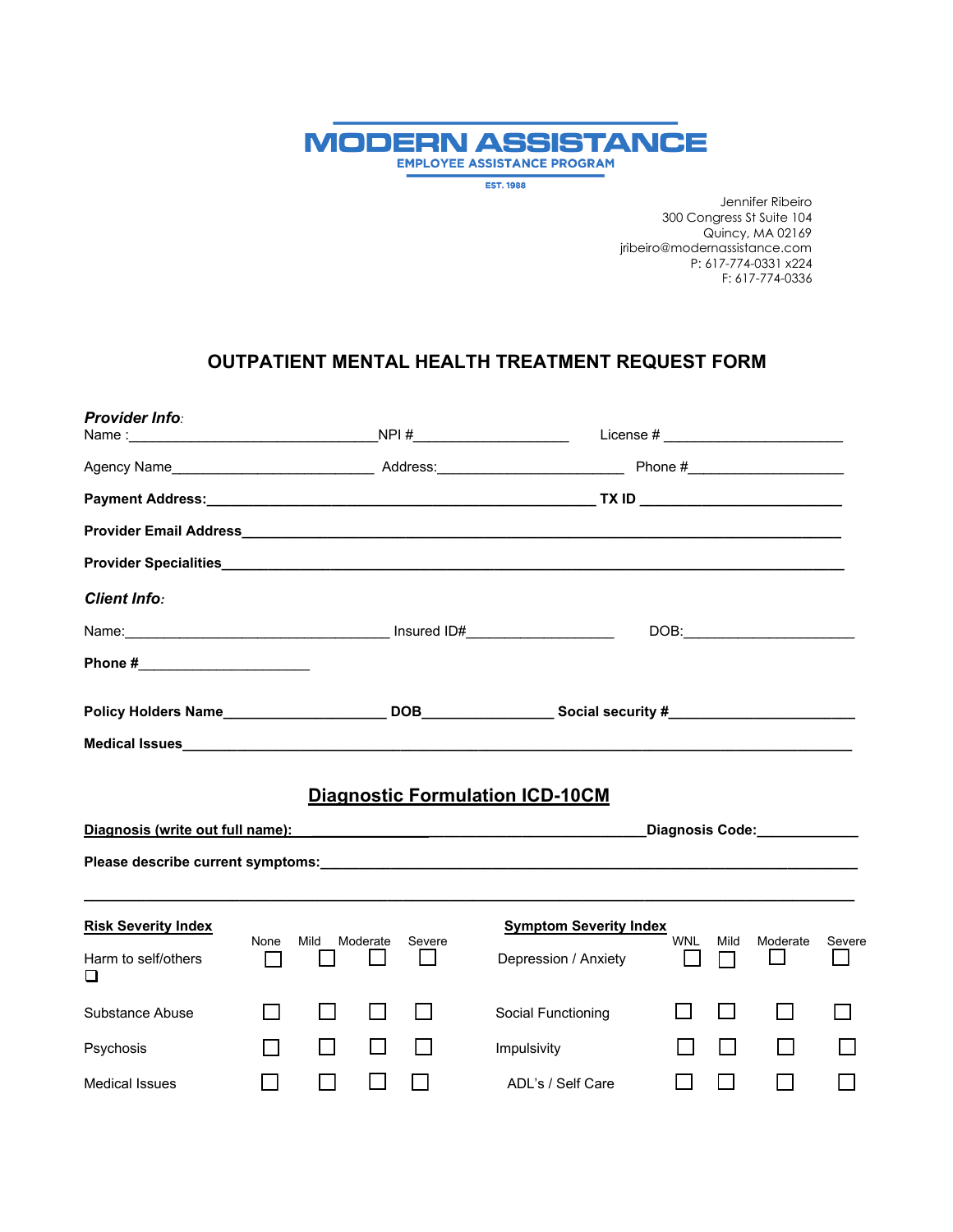

**EST. 1988** 

Jennifer Ribeiro 300 Congress St Suite 104 Quincy, MA 02169 jribeiro@modernassistance.com P: 617-774-0331 x224 F: 617-774-0336

## **OUTPATIENT MENTAL HEALTH TREATMENT REQUEST FORM**

| <b>Provider Info:</b>                                  |      |                |          |        |                                                                                                                                                                                                                                                                          |            |      | License # ____________________________ |        |
|--------------------------------------------------------|------|----------------|----------|--------|--------------------------------------------------------------------------------------------------------------------------------------------------------------------------------------------------------------------------------------------------------------------------|------------|------|----------------------------------------|--------|
|                                                        |      |                |          |        |                                                                                                                                                                                                                                                                          |            |      |                                        |        |
|                                                        |      |                |          |        |                                                                                                                                                                                                                                                                          |            |      |                                        |        |
|                                                        |      |                |          |        |                                                                                                                                                                                                                                                                          |            |      |                                        |        |
|                                                        |      |                |          |        |                                                                                                                                                                                                                                                                          |            |      |                                        |        |
| <b>Client Info:</b>                                    |      |                |          |        |                                                                                                                                                                                                                                                                          |            |      |                                        |        |
|                                                        |      |                |          |        |                                                                                                                                                                                                                                                                          |            |      |                                        |        |
| Phone #_________________________                       |      |                |          |        |                                                                                                                                                                                                                                                                          |            |      |                                        |        |
|                                                        |      |                |          |        |                                                                                                                                                                                                                                                                          |            |      |                                        |        |
|                                                        |      |                |          |        |                                                                                                                                                                                                                                                                          |            |      |                                        |        |
|                                                        |      |                |          |        | <b>Diagnostic Formulation ICD-10CM</b><br>Diagnosis (write out full name): Notified a series of the control of the control of the control of the control of the control of the control of the control of the control of the control of the control of the control of the |            |      |                                        |        |
|                                                        |      |                |          |        |                                                                                                                                                                                                                                                                          |            |      |                                        |        |
| <b>Risk Severity Index</b><br>Harm to self/others<br>❏ | None | Mild           | Moderate | Severe | <b>Symptom Severity Index</b><br>Depression / Anxiety                                                                                                                                                                                                                    | <b>WNL</b> | Mild | Moderate                               | Severe |
| Substance Abuse                                        |      | $\blacksquare$ |          |        | Social Functioning                                                                                                                                                                                                                                                       |            |      |                                        |        |
| Psychosis                                              |      | $\blacksquare$ |          |        | Impulsivity                                                                                                                                                                                                                                                              |            |      |                                        |        |
| <b>Medical Issues</b>                                  |      |                |          |        | ADL's / Self Care                                                                                                                                                                                                                                                        |            |      |                                        |        |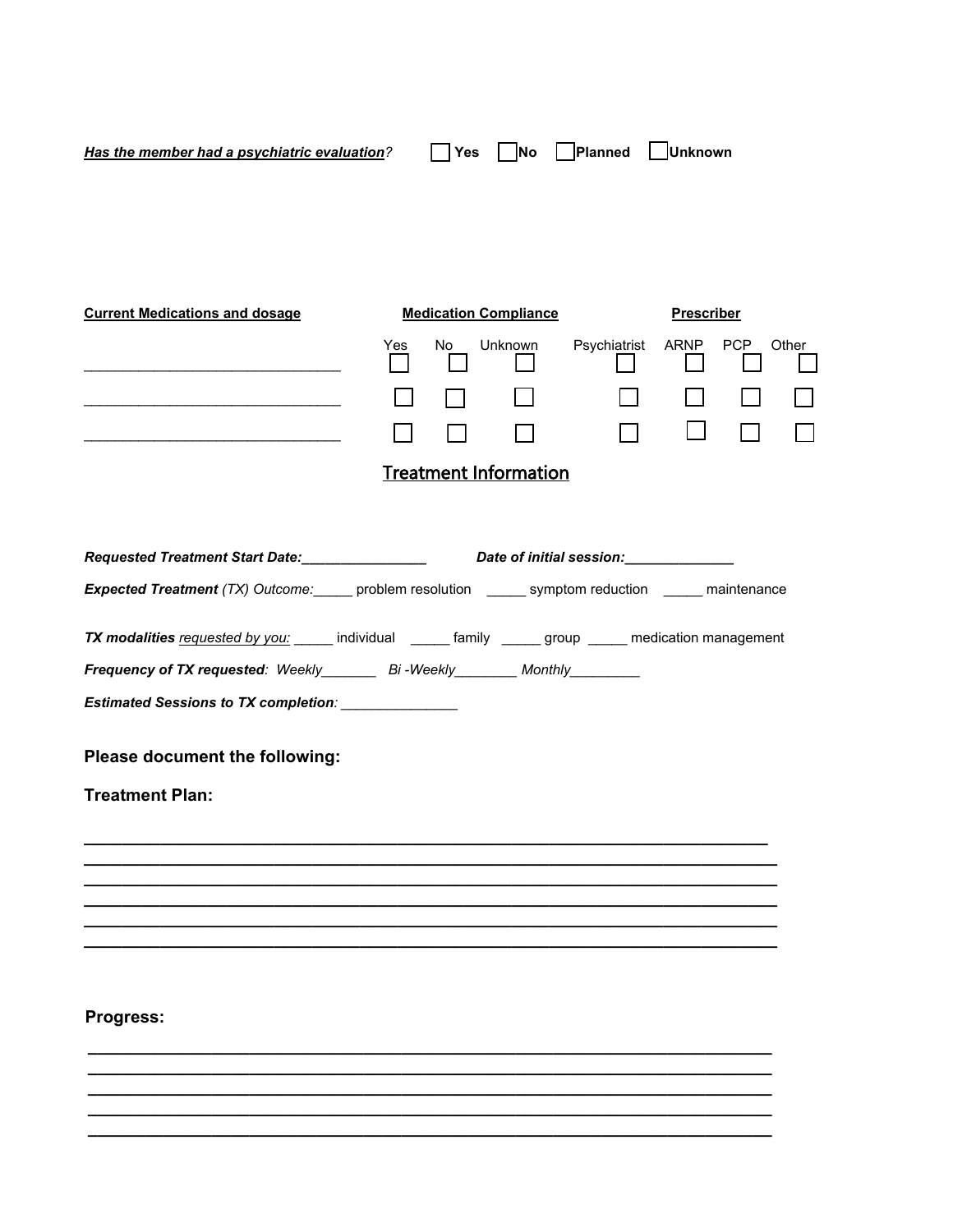| Has the member had a psychiatric evaluation? |     | Yes | <b>No</b>                    | Planned      | Unknown           |       |
|----------------------------------------------|-----|-----|------------------------------|--------------|-------------------|-------|
|                                              |     |     |                              |              |                   |       |
|                                              |     |     |                              |              |                   |       |
| <b>Current Medications and dosage</b>        |     |     | <b>Medication Compliance</b> |              | <b>Prescriber</b> |       |
|                                              | Yes | No. | <b>Unknown</b>               | Psychiatrist | ARNP PCP          | Other |
|                                              |     |     |                              |              |                   |       |

## Treatment Information

\_\_\_\_\_\_\_\_\_\_\_\_\_\_\_\_\_\_\_\_\_\_\_\_\_\_\_\_\_\_\_\_\_

|                                                                              | Requested Treatment Start Date:_________________________Date of initial session:___________________ |                                                                                                                |  |  |  |  |
|------------------------------------------------------------------------------|-----------------------------------------------------------------------------------------------------|----------------------------------------------------------------------------------------------------------------|--|--|--|--|
|                                                                              |                                                                                                     | <b>Expected Treatment</b> (TX) Outcome: problem resolution ______ symptom reduction _____ maintenance          |  |  |  |  |
|                                                                              |                                                                                                     | <b>TX modalities</b> requested by you: ______ individual ______ family _____ group _____ medication management |  |  |  |  |
| Frequency of TX requested: Weekly________ Bi-Weekly________ Monthly_________ |                                                                                                     |                                                                                                                |  |  |  |  |
| Estimated Sessions to TX completion: _______________                         |                                                                                                     |                                                                                                                |  |  |  |  |
| Please document the following:                                               |                                                                                                     |                                                                                                                |  |  |  |  |
| <b>Treatment Plan:</b>                                                       |                                                                                                     |                                                                                                                |  |  |  |  |
|                                                                              |                                                                                                     |                                                                                                                |  |  |  |  |
|                                                                              |                                                                                                     |                                                                                                                |  |  |  |  |
|                                                                              |                                                                                                     |                                                                                                                |  |  |  |  |
|                                                                              |                                                                                                     |                                                                                                                |  |  |  |  |
|                                                                              |                                                                                                     |                                                                                                                |  |  |  |  |
| <b>Progress:</b>                                                             |                                                                                                     |                                                                                                                |  |  |  |  |

**\_\_\_\_\_\_\_\_\_\_\_\_\_\_\_\_\_\_\_\_\_\_\_\_\_\_\_\_\_\_\_\_\_\_\_\_\_\_\_\_\_\_\_\_\_\_\_\_\_\_\_\_\_\_\_\_\_\_\_\_\_\_\_\_\_\_\_\_\_\_\_\_ \_\_\_\_\_\_\_\_\_\_\_\_\_\_\_\_\_\_\_\_\_\_\_\_\_\_\_\_\_\_\_\_\_\_\_\_\_\_\_\_\_\_\_\_\_\_\_\_\_\_\_\_\_\_\_\_\_\_\_\_\_\_\_\_\_\_\_\_\_\_\_\_ \_\_\_\_\_\_\_\_\_\_\_\_\_\_\_\_\_\_\_\_\_\_\_\_\_\_\_\_\_\_\_\_\_\_\_\_\_\_\_\_\_\_\_\_\_\_\_\_\_\_\_\_\_\_\_\_\_\_\_\_\_\_\_\_\_\_\_\_\_\_\_\_ \_\_\_\_\_\_\_\_\_\_\_\_\_\_\_\_\_\_\_\_\_\_\_\_\_\_\_\_\_\_\_\_\_\_\_\_\_\_\_\_\_\_\_\_\_\_\_\_\_\_\_\_\_\_\_\_\_\_\_\_\_\_\_\_\_\_\_\_\_\_\_\_ \_\_\_\_\_\_\_\_\_\_\_\_\_\_\_\_\_\_\_\_\_\_\_\_\_\_\_\_\_\_\_\_\_\_\_\_\_\_\_\_\_\_\_\_\_\_\_\_\_\_\_\_\_\_\_\_\_\_\_\_\_\_\_\_\_\_\_\_\_\_\_\_**